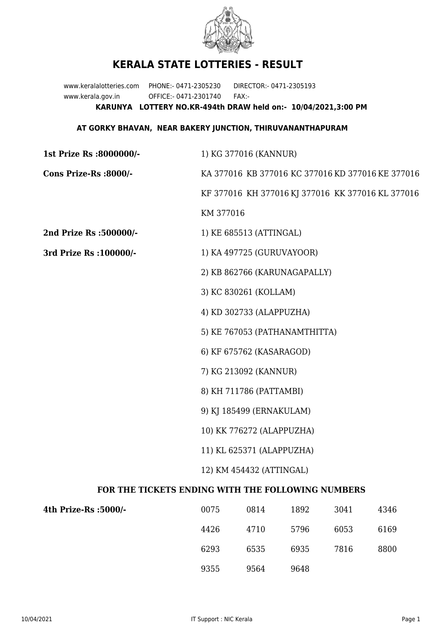

## **KERALA STATE LOTTERIES - RESULT**

www.keralalotteries.com PHONE:- 0471-2305230 DIRECTOR:- 0471-2305193 www.kerala.gov.in OFFICE:- 0471-2301740 FAX:- **KARUNYA LOTTERY NO.KR-494th DRAW held on:- 10/04/2021,3:00 PM**

## **AT GORKY BHAVAN, NEAR BAKERY JUNCTION, THIRUVANANTHAPURAM**

| 1st Prize Rs :8000000/-                           | 1) KG 377016 (KANNUR)                             |                          |      |      |      |  |  |
|---------------------------------------------------|---------------------------------------------------|--------------------------|------|------|------|--|--|
| Cons Prize-Rs :8000/-                             | KA 377016 KB 377016 KC 377016 KD 377016 KE 377016 |                          |      |      |      |  |  |
|                                                   | KF 377016 KH 377016 KJ 377016 KK 377016 KL 377016 |                          |      |      |      |  |  |
|                                                   | KM 377016                                         |                          |      |      |      |  |  |
| 2nd Prize Rs :500000/-                            |                                                   | 1) KE 685513 (ATTINGAL)  |      |      |      |  |  |
| 3rd Prize Rs : 100000/-                           | 1) KA 497725 (GURUVAYOOR)                         |                          |      |      |      |  |  |
|                                                   | 2) KB 862766 (KARUNAGAPALLY)                      |                          |      |      |      |  |  |
|                                                   | 3) KC 830261 (KOLLAM)                             |                          |      |      |      |  |  |
|                                                   | 4) KD 302733 (ALAPPUZHA)                          |                          |      |      |      |  |  |
|                                                   | 5) KE 767053 (PATHANAMTHITTA)                     |                          |      |      |      |  |  |
|                                                   |                                                   | 6) KF 675762 (KASARAGOD) |      |      |      |  |  |
|                                                   | 7) KG 213092 (KANNUR)                             |                          |      |      |      |  |  |
|                                                   | 8) KH 711786 (PATTAMBI)                           |                          |      |      |      |  |  |
|                                                   | 9) KJ 185499 (ERNAKULAM)                          |                          |      |      |      |  |  |
|                                                   | 10) KK 776272 (ALAPPUZHA)                         |                          |      |      |      |  |  |
|                                                   | 11) KL 625371 (ALAPPUZHA)                         |                          |      |      |      |  |  |
|                                                   | 12) KM 454432 (ATTINGAL)                          |                          |      |      |      |  |  |
| FOR THE TICKETS ENDING WITH THE FOLLOWING NUMBERS |                                                   |                          |      |      |      |  |  |
| 4th Prize-Rs :5000/-                              | 0075                                              | 0814                     | 1892 | 3041 | 4346 |  |  |
|                                                   | 4426                                              | 4710                     | 5796 | 6053 | 6169 |  |  |

9355 9564 9648

6293 6535 6935 7816 8800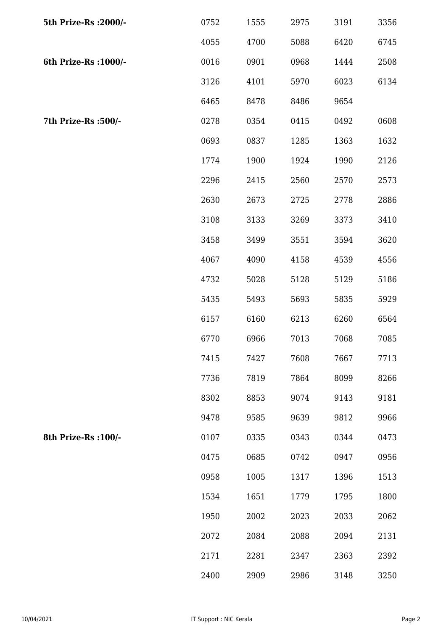| 5th Prize-Rs : 2000/- | 0752 | 1555 | 2975 | 3191 | 3356 |
|-----------------------|------|------|------|------|------|
|                       | 4055 | 4700 | 5088 | 6420 | 6745 |
| 6th Prize-Rs : 1000/- | 0016 | 0901 | 0968 | 1444 | 2508 |
|                       | 3126 | 4101 | 5970 | 6023 | 6134 |
|                       | 6465 | 8478 | 8486 | 9654 |      |
| 7th Prize-Rs : 500/-  | 0278 | 0354 | 0415 | 0492 | 0608 |
|                       | 0693 | 0837 | 1285 | 1363 | 1632 |
|                       | 1774 | 1900 | 1924 | 1990 | 2126 |
|                       | 2296 | 2415 | 2560 | 2570 | 2573 |
|                       | 2630 | 2673 | 2725 | 2778 | 2886 |
|                       | 3108 | 3133 | 3269 | 3373 | 3410 |
|                       | 3458 | 3499 | 3551 | 3594 | 3620 |
|                       | 4067 | 4090 | 4158 | 4539 | 4556 |
|                       | 4732 | 5028 | 5128 | 5129 | 5186 |
|                       | 5435 | 5493 | 5693 | 5835 | 5929 |
|                       | 6157 | 6160 | 6213 | 6260 | 6564 |
|                       | 6770 | 6966 | 7013 | 7068 | 7085 |
|                       | 7415 | 7427 | 7608 | 7667 | 7713 |
|                       | 7736 | 7819 | 7864 | 8099 | 8266 |
|                       | 8302 | 8853 | 9074 | 9143 | 9181 |
|                       | 9478 | 9585 | 9639 | 9812 | 9966 |
| 8th Prize-Rs : 100/-  | 0107 | 0335 | 0343 | 0344 | 0473 |
|                       | 0475 | 0685 | 0742 | 0947 | 0956 |
|                       | 0958 | 1005 | 1317 | 1396 | 1513 |
|                       | 1534 | 1651 | 1779 | 1795 | 1800 |
|                       | 1950 | 2002 | 2023 | 2033 | 2062 |
|                       | 2072 | 2084 | 2088 | 2094 | 2131 |
|                       | 2171 | 2281 | 2347 | 2363 | 2392 |
|                       | 2400 | 2909 | 2986 | 3148 | 3250 |